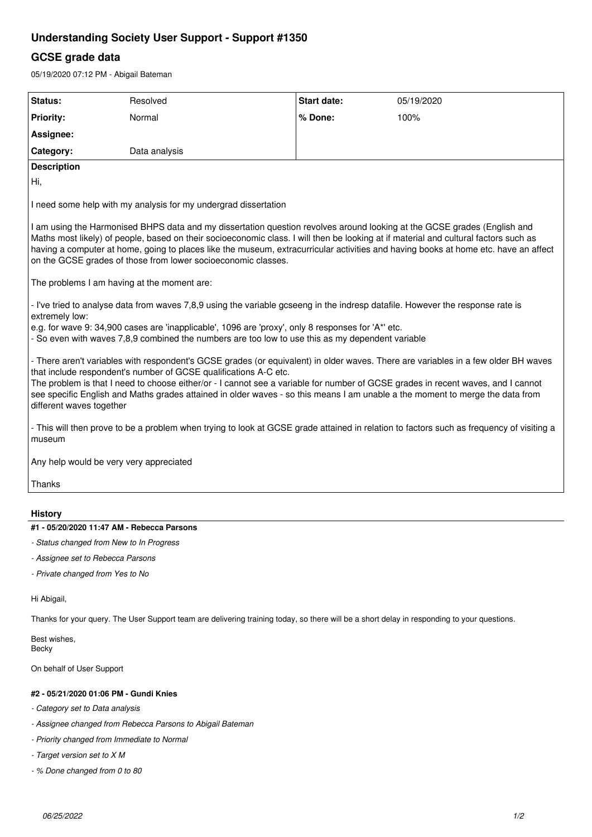# **Understanding Society User Support - Support #1350**

## **GCSE grade data**

05/19/2020 07:12 PM - Abigail Bateman

| Status:                                                                                                                                                                                                                                                                                                                                                                                                                                                                                                 | Resolved      | <b>Start date:</b> | 05/19/2020 |
|---------------------------------------------------------------------------------------------------------------------------------------------------------------------------------------------------------------------------------------------------------------------------------------------------------------------------------------------------------------------------------------------------------------------------------------------------------------------------------------------------------|---------------|--------------------|------------|
| <b>Priority:</b>                                                                                                                                                                                                                                                                                                                                                                                                                                                                                        | Normal        | % Done:            | 100%       |
| Assignee:                                                                                                                                                                                                                                                                                                                                                                                                                                                                                               |               |                    |            |
| Category:                                                                                                                                                                                                                                                                                                                                                                                                                                                                                               | Data analysis |                    |            |
| <b>Description</b>                                                                                                                                                                                                                                                                                                                                                                                                                                                                                      |               |                    |            |
| Hi,                                                                                                                                                                                                                                                                                                                                                                                                                                                                                                     |               |                    |            |
| I need some help with my analysis for my undergrad dissertation                                                                                                                                                                                                                                                                                                                                                                                                                                         |               |                    |            |
| I am using the Harmonised BHPS data and my dissertation question revolves around looking at the GCSE grades (English and<br>Maths most likely) of people, based on their socioeconomic class. I will then be looking at if material and cultural factors such as<br>having a computer at home, going to places like the museum, extracurricular activities and having books at home etc. have an affect<br>on the GCSE grades of those from lower socioeconomic classes.                                |               |                    |            |
| The problems I am having at the moment are:                                                                                                                                                                                                                                                                                                                                                                                                                                                             |               |                    |            |
| - I've tried to analyse data from waves 7,8,9 using the variable gcseeng in the indresp datafile. However the response rate is<br>extremely low:<br>e.g. for wave 9: 34,900 cases are 'inapplicable', 1096 are 'proxy', only 8 responses for 'A*' etc.<br>- So even with waves 7,8,9 combined the numbers are too low to use this as my dependent variable                                                                                                                                              |               |                    |            |
| - There aren't variables with respondent's GCSE grades (or equivalent) in older waves. There are variables in a few older BH waves<br>that include respondent's number of GCSE qualifications A-C etc.<br>The problem is that I need to choose either/or - I cannot see a variable for number of GCSE grades in recent waves, and I cannot<br>see specific English and Maths grades attained in older waves - so this means I am unable a the moment to merge the data from<br>different waves together |               |                    |            |
| - This will then prove to be a problem when trying to look at GCSE grade attained in relation to factors such as frequency of visiting a<br>museum                                                                                                                                                                                                                                                                                                                                                      |               |                    |            |
| Any help would be very very appreciated                                                                                                                                                                                                                                                                                                                                                                                                                                                                 |               |                    |            |
| Thanks                                                                                                                                                                                                                                                                                                                                                                                                                                                                                                  |               |                    |            |
| <b>History</b>                                                                                                                                                                                                                                                                                                                                                                                                                                                                                          |               |                    |            |
| #1 - 05/20/2020 11:47 AM - Rebecca Parsons                                                                                                                                                                                                                                                                                                                                                                                                                                                              |               |                    |            |
| - Status changed from New to In Progress                                                                                                                                                                                                                                                                                                                                                                                                                                                                |               |                    |            |
| - Assignee set to Rebecca Parsons                                                                                                                                                                                                                                                                                                                                                                                                                                                                       |               |                    |            |
| - Private changed from Yes to No                                                                                                                                                                                                                                                                                                                                                                                                                                                                        |               |                    |            |

Hi Abigail,

Thanks for your query. The User Support team are delivering training today, so there will be a short delay in responding to your questions.

Best wishes, Becky

On behalf of User Support

### **#2 - 05/21/2020 01:06 PM - Gundi Knies**

- *Category set to Data analysis*
- *Assignee changed from Rebecca Parsons to Abigail Bateman*
- *Priority changed from Immediate to Normal*
- *Target version set to X M*
- *% Done changed from 0 to 80*